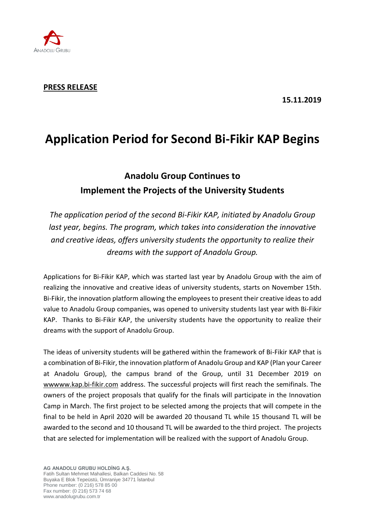

### **PRESS RELEASE**

**15.11.2019**

# **Application Period for Second Bi-Fikir KAP Begins**

## **Anadolu Group Continues to Implement the Projects of the University Students**

*The application period of the second Bi-Fikir KAP, initiated by Anadolu Group last year, begins. The program, which takes into consideration the innovative and creative ideas, offers university students the opportunity to realize their dreams with the support of Anadolu Group.*

Applications for Bi-Fikir KAP, which was started last year by Anadolu Group with the aim of realizing the innovative and creative ideas of university students, starts on November 15th. Bi-Fikir, the innovation platform allowing the employees to present their creative ideas to add value to Anadolu Group companies, was opened to university students last year with Bi-Fikir KAP. Thanks to Bi-Fikir KAP, the university students have the opportunity to realize their dreams with the support of Anadolu Group.

The ideas of university students will be gathered within the framework of Bi-Fikir KAP that is a combination of Bi-Fikir, the innovation platform of Anadolu Group and KAP (Plan your Career at Anadolu Group), the campus brand of the Group, until 31 December 2019 on wwww.kap.bi-fikir.com address. The successful projects will first reach the semifinals. The owners of the project proposals that qualify for the finals will participate in the Innovation Camp in March. The first project to be selected among the projects that will compete in the final to be held in April 2020 will be awarded 20 thousand TL while 15 thousand TL will be awarded to the second and 10 thousand TL will be awarded to the third project. The projects that are selected for implementation will be realized with the support of Anadolu Group.